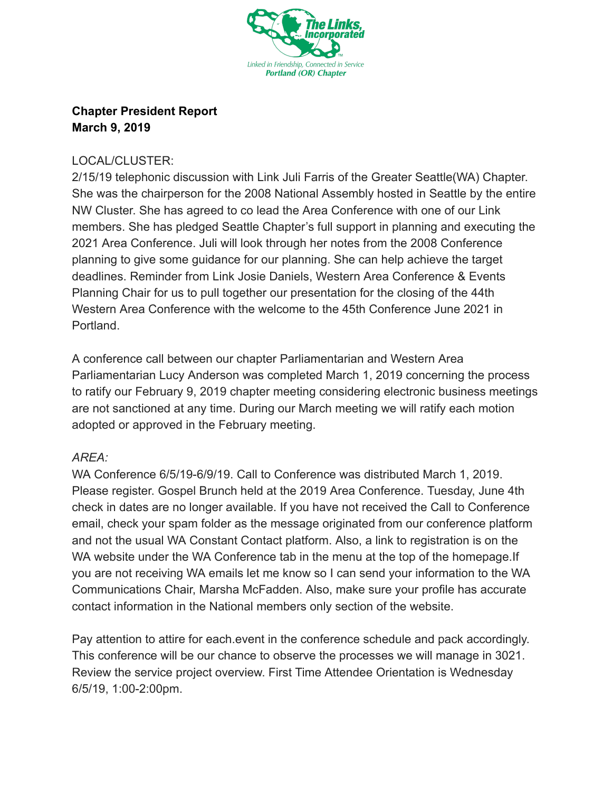

## **Chapter President Report March 9, 2019**

## LOCAL/CLUSTER:

2/15/19 telephonic discussion with Link Juli Farris of the Greater Seattle(WA) Chapter. She was the chairperson for the 2008 National Assembly hosted in Seattle by the entire NW Cluster. She has agreed to co lead the Area Conference with one of our Link members. She has pledged Seattle Chapter's full support in planning and executing the 2021 Area Conference. Juli will look through her notes from the 2008 Conference planning to give some guidance for our planning. She can help achieve the target deadlines. Reminder from Link Josie Daniels, Western Area Conference & Events Planning Chair for us to pull together our presentation for the closing of the 44th Western Area Conference with the welcome to the 45th Conference June 2021 in Portland.

A conference call between our chapter Parliamentarian and Western Area Parliamentarian Lucy Anderson was completed March 1, 2019 concerning the process to ratify our February 9, 2019 chapter meeting considering electronic business meetings are not sanctioned at any time. During our March meeting we will ratify each motion adopted or approved in the February meeting.

## *AREA:*

WA Conference 6/5/19-6/9/19. Call to Conference was distributed March 1, 2019. Please register. Gospel Brunch held at the 2019 Area Conference. Tuesday, June 4th check in dates are no longer available. If you have not received the Call to Conference email, check your spam folder as the message originated from our conference platform and not the usual WA Constant Contact platform. Also, a link to registration is on the WA website under the WA Conference tab in the menu at the top of the homepage.If you are not receiving WA emails let me know so I can send your information to the WA Communications Chair, Marsha McFadden. Also, make sure your profile has accurate contact information in the National members only section of the website.

Pay attention to attire for each.event in the conference schedule and pack accordingly. This conference will be our chance to observe the processes we will manage in 3021. Review the service project overview. First Time Attendee Orientation is Wednesday 6/5/19, 1:00-2:00pm.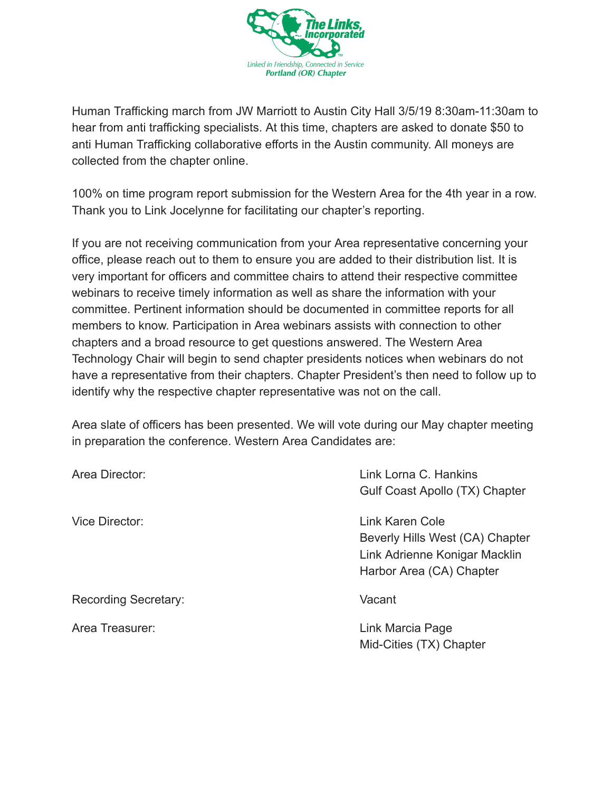

Human Trafficking march from JW Marriott to Austin City Hall 3/5/19 8:30am-11:30am to hear from anti trafficking specialists. At this time, chapters are asked to donate \$50 to anti Human Trafficking collaborative efforts in the Austin community. All moneys are collected from the chapter online.

100% on time program report submission for the Western Area for the 4th year in a row. Thank you to Link Jocelynne for facilitating our chapter's reporting.

If you are not receiving communication from your Area representative concerning your office, please reach out to them to ensure you are added to their distribution list. It is very important for officers and committee chairs to attend their respective committee webinars to receive timely information as well as share the information with your committee. Pertinent information should be documented in committee reports for all members to know. Participation in Area webinars assists with connection to other chapters and a broad resource to get questions answered. The Western Area Technology Chair will begin to send chapter presidents notices when webinars do not have a representative from their chapters. Chapter President's then need to follow up to identify why the respective chapter representative was not on the call.

Area slate of officers has been presented. We will vote during our May chapter meeting in preparation the conference. Western Area Candidates are:

| Area Director:              | Link Lorna C. Hankins           |
|-----------------------------|---------------------------------|
|                             | Gulf Coast Apollo (TX) Chapter  |
| Vice Director:              | Link Karen Cole                 |
|                             | Beverly Hills West (CA) Chapter |
|                             | Link Adrienne Konigar Macklin   |
|                             | Harbor Area (CA) Chapter        |
| <b>Recording Secretary:</b> | Vacant                          |
| Area Treasurer:             | Link Marcia Page                |
|                             | Mid-Cities (TX) Chapter         |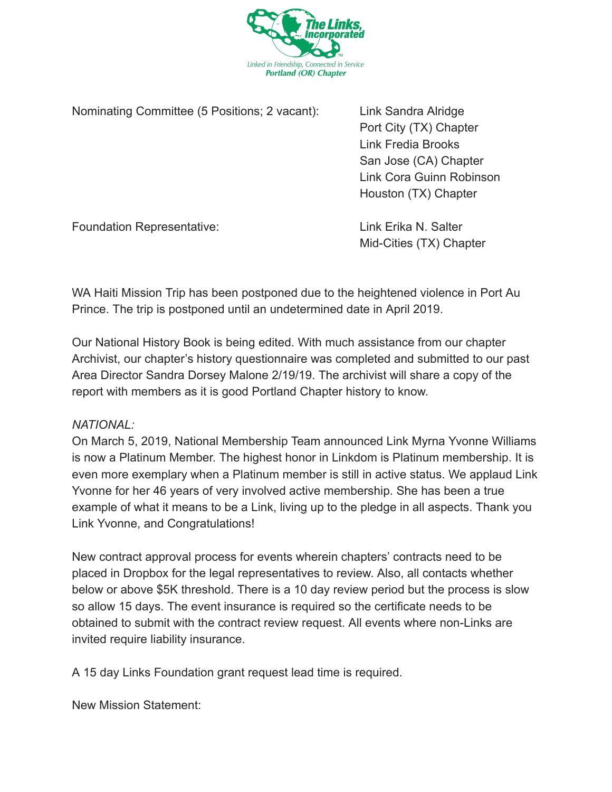

Nominating Committee (5 Positions; 2 vacant): Link Sandra Alridge

Port City (TX) Chapter Link Fredia Brooks San Jose (CA) Chapter Link Cora Guinn Robinson Houston (TX) Chapter

Foundation Representative: Link Erika N. Salter

Mid-Cities (TX) Chapter

WA Haiti Mission Trip has been postponed due to the heightened violence in Port Au Prince. The trip is postponed until an undetermined date in April 2019.

Our National History Book is being edited. With much assistance from our chapter Archivist, our chapter's history questionnaire was completed and submitted to our past Area Director Sandra Dorsey Malone 2/19/19. The archivist will share a copy of the report with members as it is good Portland Chapter history to know.

## *NATIONAL:*

On March 5, 2019, National Membership Team announced Link Myrna Yvonne Williams is now a Platinum Member. The highest honor in Linkdom is Platinum membership. It is even more exemplary when a Platinum member is still in active status. We applaud Link Yvonne for her 46 years of very involved active membership. She has been a true example of what it means to be a Link, living up to the pledge in all aspects. Thank you Link Yvonne, and Congratulations!

New contract approval process for events wherein chapters' contracts need to be placed in Dropbox for the legal representatives to review. Also, all contacts whether below or above \$5K threshold. There is a 10 day review period but the process is slow so allow 15 days. The event insurance is required so the certificate needs to be obtained to submit with the contract review request. All events where non-Links are invited require liability insurance.

A 15 day Links Foundation grant request lead time is required.

New Mission Statement: